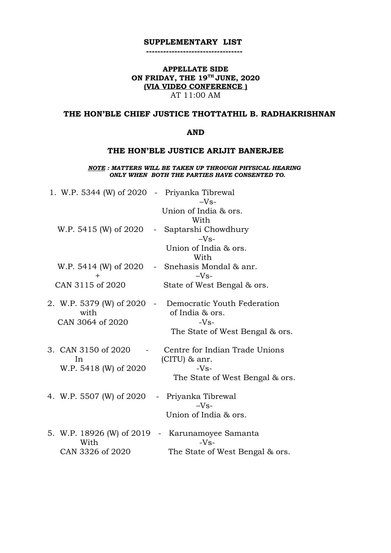## **SUPPLEMENTARY LIST ----------------------------------**

## **APPELLATE SIDE ON FRIDAY, THE 19TH JUNE, 2020 (VIA VIDEO CONFERENCE )** AT 11:00 AM

# **THE HON'BLE CHIEF JUSTICE THOTTATHIL B. RADHAKRISHNAN**

### **AND**

## **THE HON'BLE JUSTICE ARIJIT BANERJEE**

*NOTE : MATTERS WILL BE TAKEN UP THROUGH PHYSICAL HEARING ONLY WHEN BOTH THE PARTIES HAVE CONSENTED TO.*

| 1. W.P. 5344 (W) of 2020 - Priyanka Tibrewal            | $-Vs-$                                                                                                         |
|---------------------------------------------------------|----------------------------------------------------------------------------------------------------------------|
| W.P. 5415 (W) of 2020                                   | Union of India & ors.<br>With<br>Saptarshi Chowdhury<br>$\sim$ $-$<br>$-Vs-$                                   |
| W.P. 5414 (W) of 2020                                   | Union of India & ors.<br>With<br>- Snehasis Mondal & anr.                                                      |
| $\pm$                                                   | $-Vs-$                                                                                                         |
| CAN 3115 of 2020                                        | State of West Bengal & ors.                                                                                    |
| 2. W.P. 5379 (W) of 2020<br>with<br>CAN 3064 of 2020    | Democratic Youth Federation<br>$\sim 10^{-10}$<br>of India & ors.<br>$-Vs-$<br>The State of West Bengal & ors. |
| 3. CAN 3150 of 2020<br>In<br>W.P. 5418 (W) of 2020      | Centre for Indian Trade Unions<br>(CITU) & anr.<br>$-Vs-$<br>The State of West Bengal & ors.                   |
| 4. W.P. 5507 (W) of 2020                                | - Priyanka Tibrewal<br>$-Vs-$<br>Union of India & ors.                                                         |
| 5. W.P. 18926 (W) of 2019 -<br>With<br>CAN 3326 of 2020 | Karunamoyee Samanta<br>$-Vs-$<br>The State of West Bengal & ors.                                               |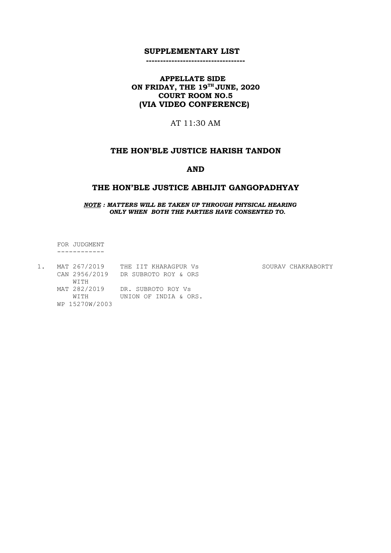#### **SUPPLEMENTARY LIST**

#### **-----------------------------------**

## **APPELLATE SIDE ON FRIDAY, THE 19TH JUNE, 2020 COURT ROOM NO.5 (VIA VIDEO CONFERENCE)**

AT 11:30 AM

# **THE HON'BLE JUSTICE HARISH TANDON**

#### **AND**

#### **THE HON'BLE JUSTICE ABHIJIT GANGOPADHYAY**

 *NOTE : MATTERS WILL BE TAKEN UP THROUGH PHYSICAL HEARING ONLY WHEN BOTH THE PARTIES HAVE CONSENTED TO.*

 FOR JUDGMENT ------------

| MAT 267/2019   | THE IIT KHARAGPUR Vs            | SOURAV CHAKRABORTY |
|----------------|---------------------------------|--------------------|
| CAN 2956/2019  | DR SUBROTO ROY & ORS            |                    |
| WTTH           |                                 |                    |
|                | MAT 282/2019 DR. SUBROTO ROY VS |                    |
| WTTH           | UNION OF INDIA & ORS.           |                    |
| WP 15270W/2003 |                                 |                    |
|                |                                 |                    |